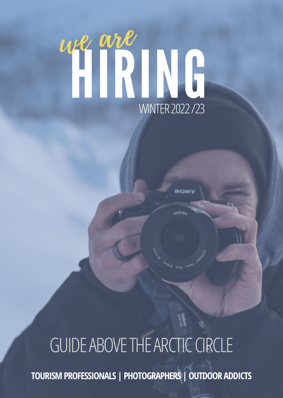# HIRING we are WINTER2022/23

# GUIDE ABOVE THE ARCTIC CIRCLE

**TOURISMPROFESSIONALS | PHOTOGRAPHERS |OUTDOOR ADDICTS**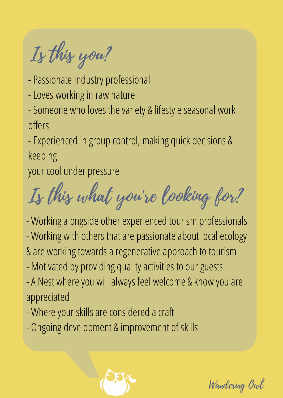Is this you?

- Passionate industry professional
- Loves working in raw nature
- Someone who loves the variety & lifestyle seasonal work offers

-Experienced in group control, making quick decisions & keeping

your cool under pressure

Is this what you're looking for?

- Working alongside other experienced tourism professionals - Working with others that are passionate about local ecology & are working towards a regenerative approach to tourism - Motivated by providing quality activities to our guests - A Nest where you will always feel welcome & know you are appreciated
- 
- Where your skills are considered a craft
- Ongoing development & improvement of skills



Wandering Owl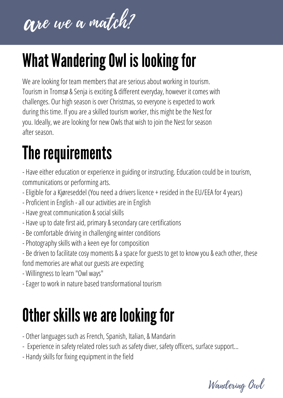

## What Wandering Owl is looking for

We are looking for team members that are serious about working in tourism. Tourism in Tromsø & Senja is exciting & different everyday, however it comes with challenges. Our high season is over Christmas, so everyone is expected to work during this time. If you are a skilled tourism worker, this might be the Nest for you. Ideally, we are looking for new Owls that wish to join the Nest for season after season.

## The requirements

- Have either education or experience in guiding or instructing. Education could be in tourism, communications or performing arts.

- Eligible for a Kjøreseddel (You need a drivers licence + resided in the EU/EEA for 4 years)
- Proficient in English all our activities are in English
- Have great communication & social skills
- Have up to date first aid, primary & secondary care certifications
- Be comfortable driving in challenging winter conditions
- Photography skills with a keen eye for composition
- Be driven to facilitate cosy moments & a space for guests to get to know you & each other, these fond memories are what our guests are expecting
- Willingness to learn "Owl ways"
- Eager to work in nature based transformational tourism

## Other skills we are looking for

- Other languages such as French, Spanish, Italian, & Mandarin
- Experience in safety related roles such as safety diver, safety officers, surface support...
- Handy skills for fixing equipment in the field

Wandering Owl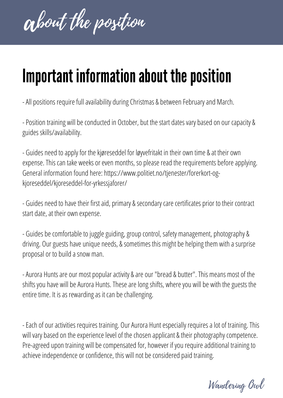about the position

#### Important information about the position

- All positions require full availability during Christmas & between February and March.

- Position training will be conducted in October, but the start dates vary based on our capacity & guides skills/availability.

- Guides need to apply for the kjøreseddel for løyvefritakt in their own time & at their own expense. This can take weeks or even months, so please read the requirements before applying. General information found here: https://www.politiet.no/tjenester/forerkort-ogkjoreseddel/kjoreseddel-for-yrkessjaforer/

- Guides need to have their first aid, primary & secondary care certificates prior to their contract start date, at their own expense.

- Guides be comfortable to juggle guiding, group control, safety management, photography & driving. Our guests have unique needs, & sometimes this might be helping them with a surprise proposal or to build a snow man.

- Aurora Hunts are our most popular activity & are our "bread & butter". This means most of the shifts you have will be Aurora Hunts. These are long shifts, where you will be with the guests the entire time. It is as rewarding as it can be challenging.

- Each of our activities requires training. Our Aurora Hunt especially requires a lot of training. This will vary based on the experience level of the chosen applicant & their photography competence. Pre-agreed upon training will be compensated for, however if you require additional training to achieve independence or confidence, this will not be considered paid training.

Wandering Owl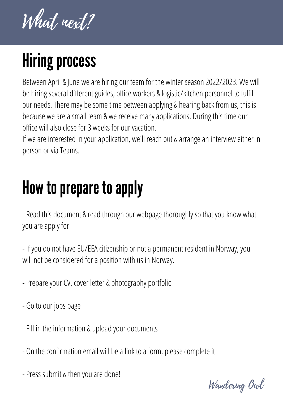What next?

# **Hiring process**

Between April & June we are hiring our team for the winter season 2022/2023. We will be hiring several different guides, office workers & logistic/kitchen personnel to fulfil our needs. There may be some time between applying & hearing back from us, this is because we are a small team & we receive many applications. During this time our office will also close for 3 weeks for our vacation.

If we are interested in your application, we'll reach out & arrange an interview either in person or via Teams.

#### How to prepare to apply

- Read this document & read through our webpage thoroughly so that you know what you are apply for

- If you do not have EU/EEA citizenship or not a permanent resident in Norway, you will not be considered for a position with us in Norway.

- Prepare your CV, cover letter & photography portfolio
- Go to our jobs page
- Fill in the information & upload your documents
- On the confirmation email will be a link to a form, please complete it
- Press submit & then you are done!

Wandering Owl